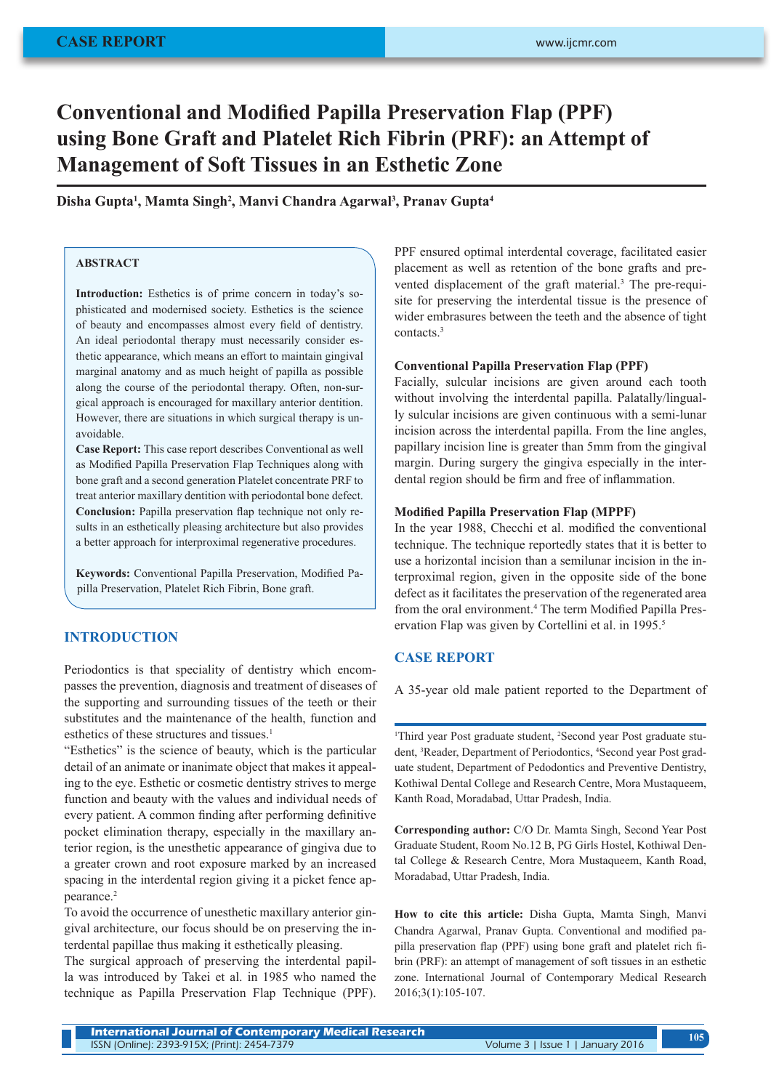# **Conventional and Modified Papilla Preservation Flap (PPF) using Bone Graft and Platelet Rich Fibrin (PRF): an Attempt of Management of Soft Tissues in an Esthetic Zone**

# **Disha Gupta<sup>1</sup> , Mamta Singh<sup>2</sup> , Manvi Chandra Agarwal<sup>3</sup> , Pranav Gupta<sup>4</sup>**

# **ABSTRACT**

**Introduction:** Esthetics is of prime concern in today's sophisticated and modernised society. Esthetics is the science of beauty and encompasses almost every field of dentistry. An ideal periodontal therapy must necessarily consider esthetic appearance, which means an effort to maintain gingival marginal anatomy and as much height of papilla as possible along the course of the periodontal therapy. Often, non-surgical approach is encouraged for maxillary anterior dentition. However, there are situations in which surgical therapy is unavoidable.

**Case Report:** This case report describes Conventional as well as Modified Papilla Preservation Flap Techniques along with bone graft and a second generation Platelet concentrate PRF to treat anterior maxillary dentition with periodontal bone defect. **Conclusion:** Papilla preservation flap technique not only results in an esthetically pleasing architecture but also provides a better approach for interproximal regenerative procedures.

**Keywords:** Conventional Papilla Preservation, Modified Papilla Preservation, Platelet Rich Fibrin, Bone graft.

# **INTRODUCTION**

Periodontics is that speciality of dentistry which encompasses the prevention, diagnosis and treatment of diseases of the supporting and surrounding tissues of the teeth or their substitutes and the maintenance of the health, function and esthetics of these structures and tissues.<sup>1</sup>

"Esthetics" is the science of beauty, which is the particular detail of an animate or inanimate object that makes it appealing to the eye. Esthetic or cosmetic dentistry strives to merge function and beauty with the values and individual needs of every patient. A common finding after performing definitive pocket elimination therapy, especially in the maxillary anterior region, is the unesthetic appearance of gingiva due to a greater crown and root exposure marked by an increased spacing in the interdental region giving it a picket fence appearance.<sup>2</sup>

To avoid the occurrence of unesthetic maxillary anterior gingival architecture, our focus should be on preserving the interdental papillae thus making it esthetically pleasing.

The surgical approach of preserving the interdental papilla was introduced by Takei et al. in 1985 who named the technique as Papilla Preservation Flap Technique (PPF). PPF ensured optimal interdental coverage, facilitated easier placement as well as retention of the bone grafts and prevented displacement of the graft material.<sup>3</sup> The pre-requisite for preserving the interdental tissue is the presence of wider embrasures between the teeth and the absence of tight contacts.3

## **Conventional Papilla Preservation Flap (PPF)**

Facially, sulcular incisions are given around each tooth without involving the interdental papilla. Palatally/lingually sulcular incisions are given continuous with a semi-lunar incision across the interdental papilla. From the line angles, papillary incision line is greater than 5mm from the gingival margin. During surgery the gingiva especially in the interdental region should be firm and free of inflammation.

#### **Modified Papilla Preservation Flap (MPPF)**

In the year 1988, Checchi et al. modified the conventional technique. The technique reportedly states that it is better to use a horizontal incision than a semilunar incision in the interproximal region, given in the opposite side of the bone defect as it facilitates the preservation of the regenerated area from the oral environment.<sup>4</sup> The term Modified Papilla Preservation Flap was given by Cortellini et al. in 1995.<sup>5</sup>

# **CASE REPORT**

A 35-year old male patient reported to the Department of

<sup>1</sup>Third year Post graduate student, <sup>2</sup>Second year Post graduate student, <sup>3</sup>Reader, Department of Periodontics, <sup>4</sup>Second year Post graduate student, Department of Pedodontics and Preventive Dentistry, Kothiwal Dental College and Research Centre, Mora Mustaqueem, Kanth Road, Moradabad, Uttar Pradesh, India.

**Corresponding author:** C/O Dr. Mamta Singh, Second Year Post Graduate Student, Room No.12 B, PG Girls Hostel, Kothiwal Dental College & Research Centre, Mora Mustaqueem, Kanth Road, Moradabad, Uttar Pradesh, India.

**How to cite this article:** Disha Gupta, Mamta Singh, Manvi Chandra Agarwal, Pranav Gupta. Conventional and modified papilla preservation flap (PPF) using bone graft and platelet rich fibrin (PRF): an attempt of management of soft tissues in an esthetic zone. International Journal of Contemporary Medical Research 2016;3(1):105-107.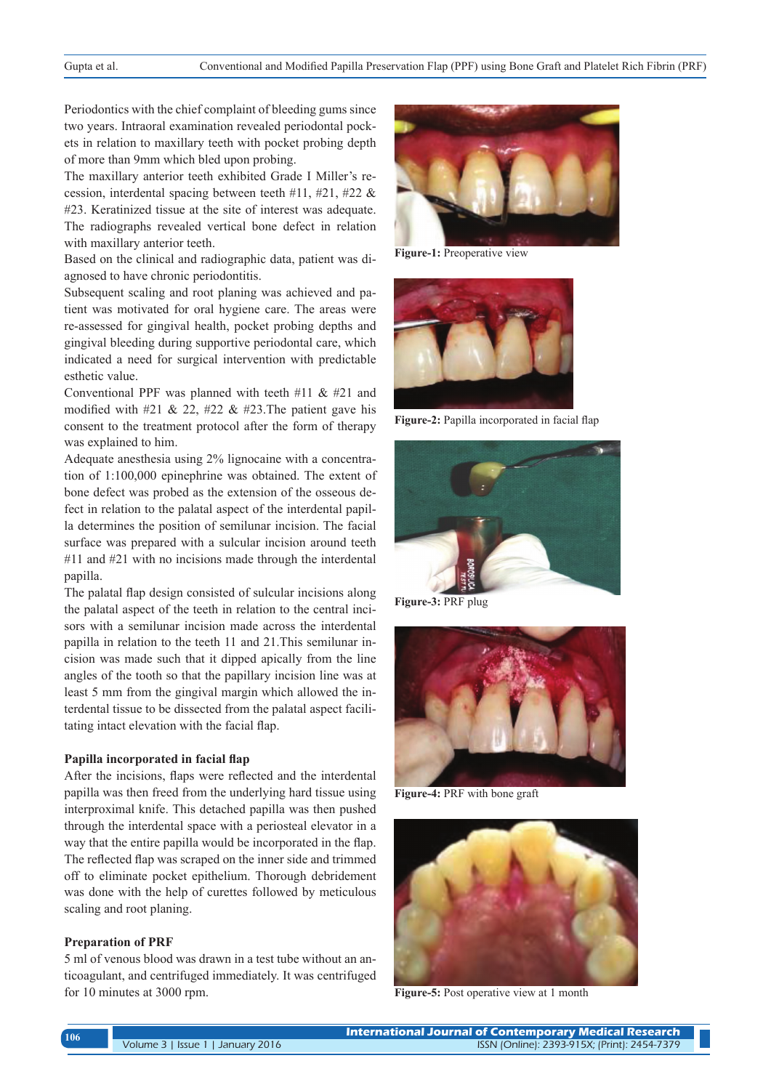Periodontics with the chief complaint of bleeding gums since two years. Intraoral examination revealed periodontal pockets in relation to maxillary teeth with pocket probing depth of more than 9mm which bled upon probing.

The maxillary anterior teeth exhibited Grade I Miller's recession, interdental spacing between teeth #11, #21, #22 & #23. Keratinized tissue at the site of interest was adequate. The radiographs revealed vertical bone defect in relation with maxillary anterior teeth.

Based on the clinical and radiographic data, patient was diagnosed to have chronic periodontitis.

Subsequent scaling and root planing was achieved and patient was motivated for oral hygiene care. The areas were re-assessed for gingival health, pocket probing depths and gingival bleeding during supportive periodontal care, which indicated a need for surgical intervention with predictable esthetic value.

Conventional PPF was planned with teeth  $#11 \& #21$  and modified with #21 & 22, #22 & #23. The patient gave his consent to the treatment protocol after the form of therapy was explained to him.

Adequate anesthesia using 2% lignocaine with a concentration of 1:100,000 epinephrine was obtained. The extent of bone defect was probed as the extension of the osseous defect in relation to the palatal aspect of the interdental papilla determines the position of semilunar incision. The facial surface was prepared with a sulcular incision around teeth #11 and #21 with no incisions made through the interdental papilla.

The palatal flap design consisted of sulcular incisions along the palatal aspect of the teeth in relation to the central incisors with a semilunar incision made across the interdental papilla in relation to the teeth 11 and 21.This semilunar incision was made such that it dipped apically from the line angles of the tooth so that the papillary incision line was at least 5 mm from the gingival margin which allowed the interdental tissue to be dissected from the palatal aspect facilitating intact elevation with the facial flap.

#### **Papilla incorporated in facial flap**

After the incisions, flaps were reflected and the interdental papilla was then freed from the underlying hard tissue using interproximal knife. This detached papilla was then pushed through the interdental space with a periosteal elevator in a way that the entire papilla would be incorporated in the flap. The reflected flap was scraped on the inner side and trimmed off to eliminate pocket epithelium. Thorough debridement was done with the help of curettes followed by meticulous scaling and root planing.

## **Preparation of PRF**

5 ml of venous blood was drawn in a test tube without an anticoagulant, and centrifuged immediately. It was centrifuged for 10 minutes at 3000 rpm. **Figure-5:** Post operative view at 1 month



**Figure-1:** Preoperative view



**Figure-2:** Papilla incorporated in facial flap



**Figure-3:** PRF plug



**Figure-4:** PRF with bone graft



**International Journal of Contemporary Medical Research**  International Journal of Contemporary Medical Research<br>ISSN (Online): 2393-915X; (Print): 2454-7379 **106** ISSN (Online): 2393-915X; (Print): 2454-7379